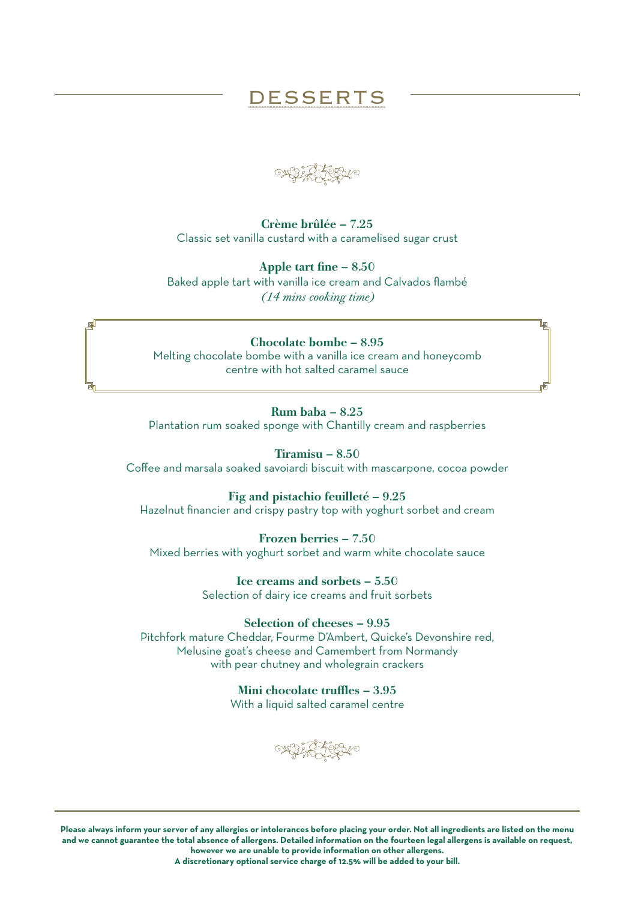## DESSERTS

Crème brûlée – 7.25 Classic set vanilla custard with a caramelised sugar crust

Apple tart fine – 8.50 Baked apple tart with vanilla ice cream and Calvados flambé

*(14 mins cooking time)* 

## Chocolate bombe – 8.95

Melting chocolate bombe with a vanilla ice cream and honeycomb centre with hot salted caramel sauce

Rum baba – 8.25

Plantation rum soaked sponge with Chantilly cream and raspberries

Tiramisu – 8.50

Coffee and marsala soaked savoiardi biscuit with mascarpone, cocoa powder

## Fig and pistachio feuilleté – 9.25

Hazelnut financier and crispy pastry top with yoghurt sorbet and cream

Frozen berries – 7.50

Mixed berries with yoghurt sorbet and warm white chocolate sauce

Ice creams and sorbets – 5.50 Selection of dairy ice creams and fruit sorbets

Selection of cheeses – 9.95 Pitchfork mature Cheddar, Fourme D'Ambert, Quicke's Devonshire red, Melusine goat's cheese and Camembert from Normandy with pear chutney and wholegrain crackers

> Mini chocolate truffles – 3.95 With a liquid salted caramel centre

**NEI STEEN** 

**Please always inform your server of any allergies or intolerances before placing your order. Not all ingredients are listed on the menu and we cannot guarantee the total absence of allergens. Detailed information on the fourteen legal allergens is available on request, however we are unable to provide information on other allergens. A discretionary optional service charge of 12.5% will be added to your bill.**